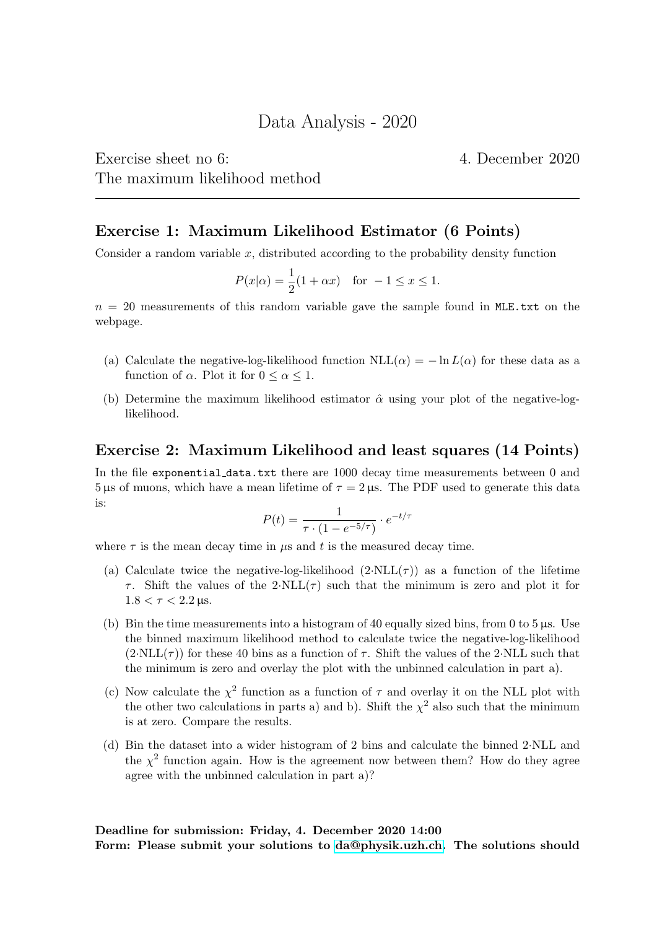Exercise sheet no 6: 4. December 2020 The maximum likelihood method

Exercise 1: Maximum Likelihood Estimator (6 Points)

Consider a random variable  $x$ , distributed according to the probability density function

$$
P(x|\alpha) = \frac{1}{2}(1 + \alpha x)
$$
 for  $-1 \le x \le 1$ .

 $n = 20$  measurements of this random variable gave the sample found in MLE.txt on the webpage.

- (a) Calculate the negative-log-likelihood function  $NLL(\alpha) = -\ln L(\alpha)$  for these data as a function of  $\alpha$ . Plot it for  $0 \leq \alpha \leq 1$ .
- (b) Determine the maximum likelihood estimator  $\hat{\alpha}$  using your plot of the negative-loglikelihood.

## Exercise 2: Maximum Likelihood and least squares (14 Points)

In the file exponential data.txt there are 1000 decay time measurements between 0 and 5 μs of muons, which have a mean lifetime of  $\tau = 2 \,\mu s$ . The PDF used to generate this data is:

$$
P(t) = \frac{1}{\tau \cdot (1 - e^{-5/\tau})} \cdot e^{-t/\tau}
$$

where  $\tau$  is the mean decay time in  $\mu$ s and t is the measured decay time.

- (a) Calculate twice the negative-log-likelihood  $(2·NLL(\tau))$  as a function of the lifetime  $\tau$ . Shift the values of the 2·NLL( $\tau$ ) such that the minimum is zero and plot it for  $1.8 < \tau < 2.2 \,\text{us}.$
- (b) Bin the time measurements into a histogram of 40 equally sized bins, from 0 to 5  $\mu$ s. Use the binned maximum likelihood method to calculate twice the negative-log-likelihood  $(2\text{-}NLL(\tau))$  for these 40 bins as a function of  $\tau$ . Shift the values of the 2·NLL such that the minimum is zero and overlay the plot with the unbinned calculation in part a).
- (c) Now calculate the  $\chi^2$  function as a function of  $\tau$  and overlay it on the NLL plot with the other two calculations in parts a) and b). Shift the  $\chi^2$  also such that the minimum is at zero. Compare the results.
- (d) Bin the dataset into a wider histogram of 2 bins and calculate the binned 2·NLL and the  $\chi^2$  function again. How is the agreement now between them? How do they agree agree with the unbinned calculation in part a)?

Deadline for submission: Friday, 4. December 2020 14:00

Form: Please submit your solutions to [da@physik.uzh.ch.](mailto:da@physik.uzh.ch) The solutions should